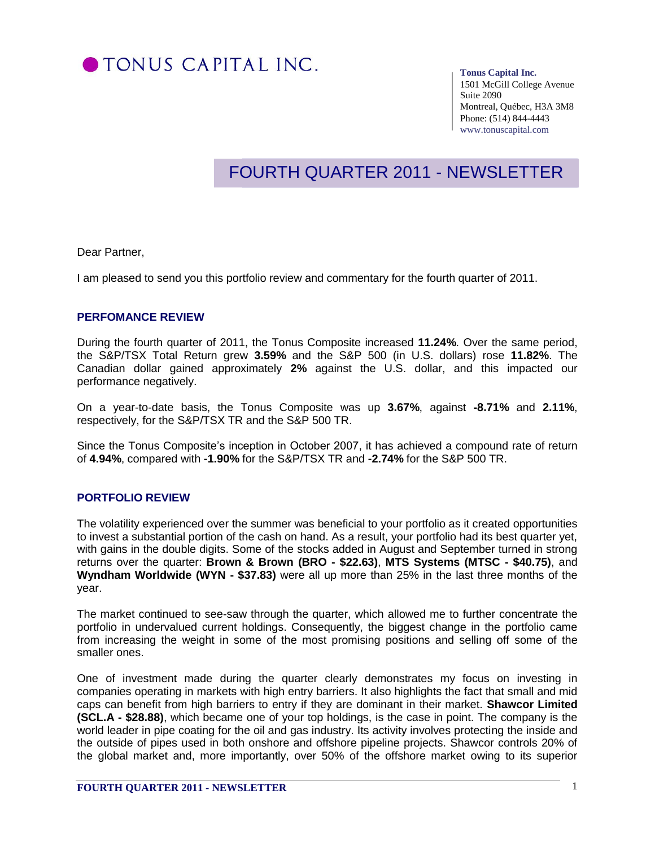

#### **Tonus Capital Inc.**

1501 McGill College Avenue Suite 2090 Montreal, Québec, H3A 3M8 Phone: (514) 844-4443 www.tonuscapital.com

# FOURTH QUARTER 2011 - NEWSLETTER

Dear Partner,

I am pleased to send you this portfolio review and commentary for the fourth quarter of 2011.

### **PERFOMANCE REVIEW**

During the fourth quarter of 2011, the Tonus Composite increased **11.24%**. Over the same period, the S&P/TSX Total Return grew **3.59%** and the S&P 500 (in U.S. dollars) rose **11.82%**. The Canadian dollar gained approximately **2%** against the U.S. dollar, and this impacted our performance negatively.

On a year-to-date basis, the Tonus Composite was up **3.67%**, against **-8.71%** and **2.11%**, respectively, for the S&P/TSX TR and the S&P 500 TR.

Since the Tonus Composite's inception in October 2007, it has achieved a compound rate of return of **4.94%**, compared with **-1.90%** for the S&P/TSX TR and **-2.74%** for the S&P 500 TR.

### **PORTFOLIO REVIEW**

The volatility experienced over the summer was beneficial to your portfolio as it created opportunities to invest a substantial portion of the cash on hand. As a result, your portfolio had its best quarter yet, with gains in the double digits. Some of the stocks added in August and September turned in strong returns over the quarter: **Brown & Brown (BRO - \$22.63)**, **MTS Systems (MTSC - \$40.75)**, and **Wyndham Worldwide (WYN - \$37.83)** were all up more than 25% in the last three months of the year.

The market continued to see-saw through the quarter, which allowed me to further concentrate the portfolio in undervalued current holdings. Consequently, the biggest change in the portfolio came from increasing the weight in some of the most promising positions and selling off some of the smaller ones.

One of investment made during the quarter clearly demonstrates my focus on investing in companies operating in markets with high entry barriers. It also highlights the fact that small and mid caps can benefit from high barriers to entry if they are dominant in their market. **Shawcor Limited (SCL.A - \$28.88)**, which became one of your top holdings, is the case in point. The company is the world leader in pipe coating for the oil and gas industry. Its activity involves protecting the inside and the outside of pipes used in both onshore and offshore pipeline projects. Shawcor controls 20% of the global market and, more importantly, over 50% of the offshore market owing to its superior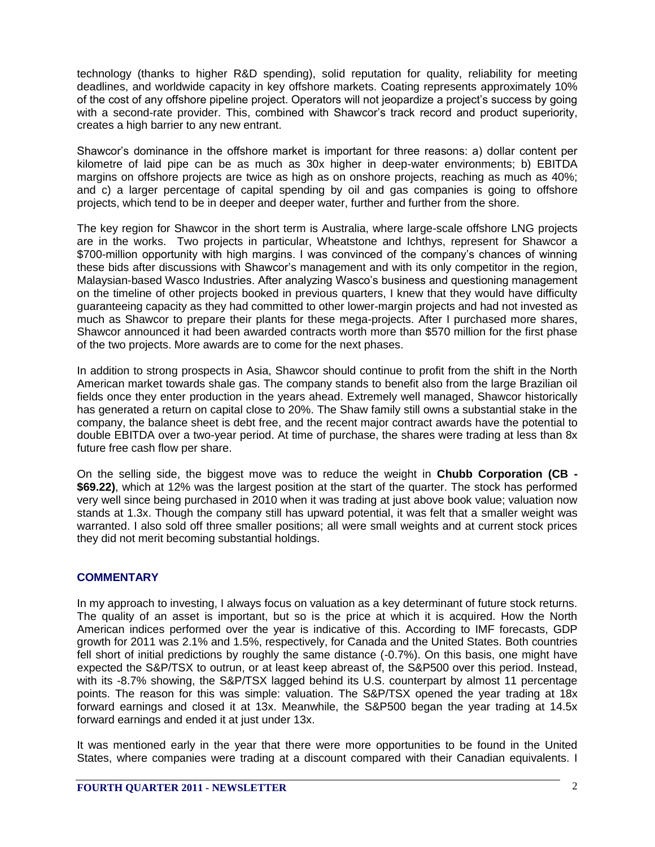technology (thanks to higher R&D spending), solid reputation for quality, reliability for meeting deadlines, and worldwide capacity in key offshore markets. Coating represents approximately 10% of the cost of any offshore pipeline project. Operators will not jeopardize a project's success by going with a second-rate provider. This, combined with Shawcor's track record and product superiority, creates a high barrier to any new entrant.

Shawcor's dominance in the offshore market is important for three reasons: a) dollar content per kilometre of laid pipe can be as much as 30x higher in deep-water environments; b) EBITDA margins on offshore projects are twice as high as on onshore projects, reaching as much as 40%; and c) a larger percentage of capital spending by oil and gas companies is going to offshore projects, which tend to be in deeper and deeper water, further and further from the shore.

The key region for Shawcor in the short term is Australia, where large-scale offshore LNG projects are in the works. Two projects in particular, Wheatstone and Ichthys, represent for Shawcor a \$700-million opportunity with high margins. I was convinced of the company's chances of winning these bids after discussions with Shawcor's management and with its only competitor in the region, Malaysian-based Wasco Industries. After analyzing Wasco's business and questioning management on the timeline of other projects booked in previous quarters, I knew that they would have difficulty guaranteeing capacity as they had committed to other lower-margin projects and had not invested as much as Shawcor to prepare their plants for these mega-projects. After I purchased more shares, Shawcor announced it had been awarded contracts worth more than \$570 million for the first phase of the two projects. More awards are to come for the next phases.

In addition to strong prospects in Asia, Shawcor should continue to profit from the shift in the North American market towards shale gas. The company stands to benefit also from the large Brazilian oil fields once they enter production in the years ahead. Extremely well managed, Shawcor historically has generated a return on capital close to 20%. The Shaw family still owns a substantial stake in the company, the balance sheet is debt free, and the recent major contract awards have the potential to double EBITDA over a two-year period. At time of purchase, the shares were trading at less than 8x future free cash flow per share.

On the selling side, the biggest move was to reduce the weight in **Chubb Corporation (CB - \$69.22)**, which at 12% was the largest position at the start of the quarter. The stock has performed very well since being purchased in 2010 when it was trading at just above book value; valuation now stands at 1.3x. Though the company still has upward potential, it was felt that a smaller weight was warranted. I also sold off three smaller positions; all were small weights and at current stock prices they did not merit becoming substantial holdings.

## **COMMENTARY**

In my approach to investing, I always focus on valuation as a key determinant of future stock returns. The quality of an asset is important, but so is the price at which it is acquired. How the North American indices performed over the year is indicative of this. According to IMF forecasts, GDP growth for 2011 was 2.1% and 1.5%, respectively, for Canada and the United States. Both countries fell short of initial predictions by roughly the same distance (-0.7%). On this basis, one might have expected the S&P/TSX to outrun, or at least keep abreast of, the S&P500 over this period. Instead, with its -8.7% showing, the S&P/TSX lagged behind its U.S. counterpart by almost 11 percentage points. The reason for this was simple: valuation. The S&P/TSX opened the year trading at 18x forward earnings and closed it at 13x. Meanwhile, the S&P500 began the year trading at 14.5x forward earnings and ended it at just under 13x.

It was mentioned early in the year that there were more opportunities to be found in the United States, where companies were trading at a discount compared with their Canadian equivalents. I